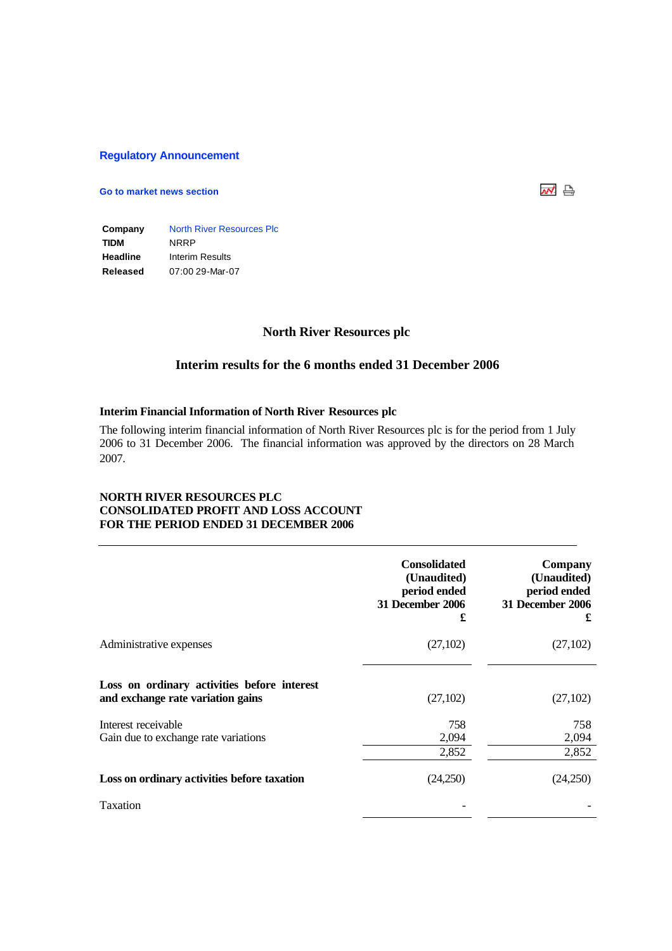#### **Regulatory Announcement**

### **Go to market news section**



**Company** North River Resources Plc **TIDM** NRRP **Headline** Interim Results **Released** 07:00 29-Mar-07

# **North River Resources plc**

# **Interim results for the 6 months ended 31 December 2006**

#### **Interim Financial Information of North River Resources plc**

The following interim financial information of North River Resources plc is for the period from 1 July 2006 to 31 December 2006. The financial information was approved by the directors on 28 March 2007.

## **NORTH RIVER RESOURCES PLC CONSOLIDATED PROFIT AND LOSS ACCOUNT FOR THE PERIOD ENDED 31 DECEMBER 2006**

|                                                                                  | <b>Consolidated</b><br>(Unaudited)<br>period ended<br><b>31 December 2006</b><br>£ | Company<br>(Unaudited)<br>period ended<br>31 December 2006<br>£ |
|----------------------------------------------------------------------------------|------------------------------------------------------------------------------------|-----------------------------------------------------------------|
| Administrative expenses                                                          | (27,102)                                                                           | (27,102)                                                        |
| Loss on ordinary activities before interest<br>and exchange rate variation gains | (27,102)                                                                           | (27,102)                                                        |
| Interest receivable<br>Gain due to exchange rate variations                      | 758<br>2,094<br>2,852                                                              | 758<br>2,094<br>2,852                                           |
| Loss on ordinary activities before taxation                                      | (24,250)                                                                           | (24,250)                                                        |
| Taxation                                                                         |                                                                                    |                                                                 |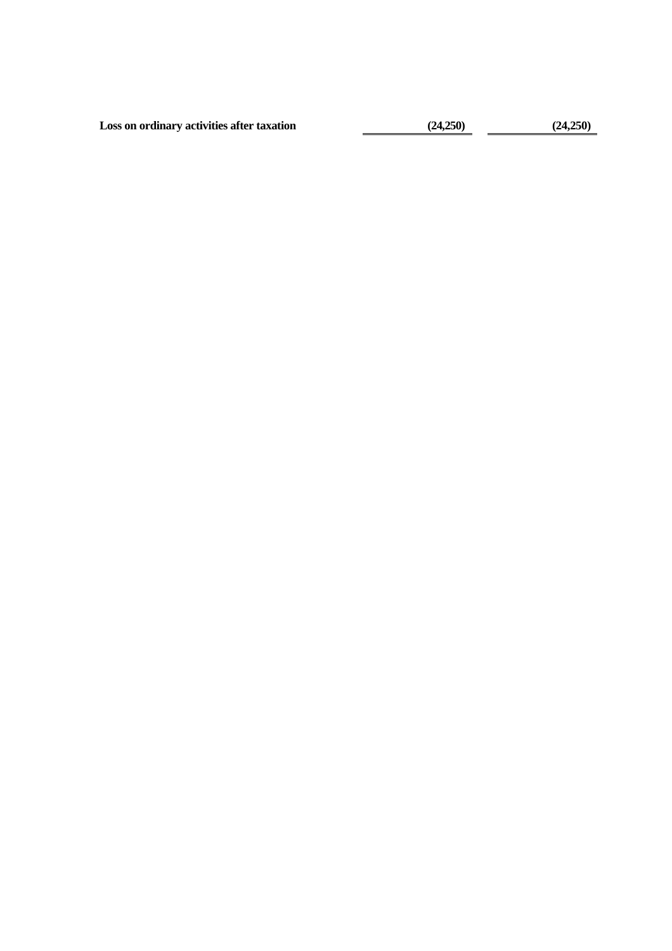**Loss on ordinary activities after taxation (24,250) (24,250)**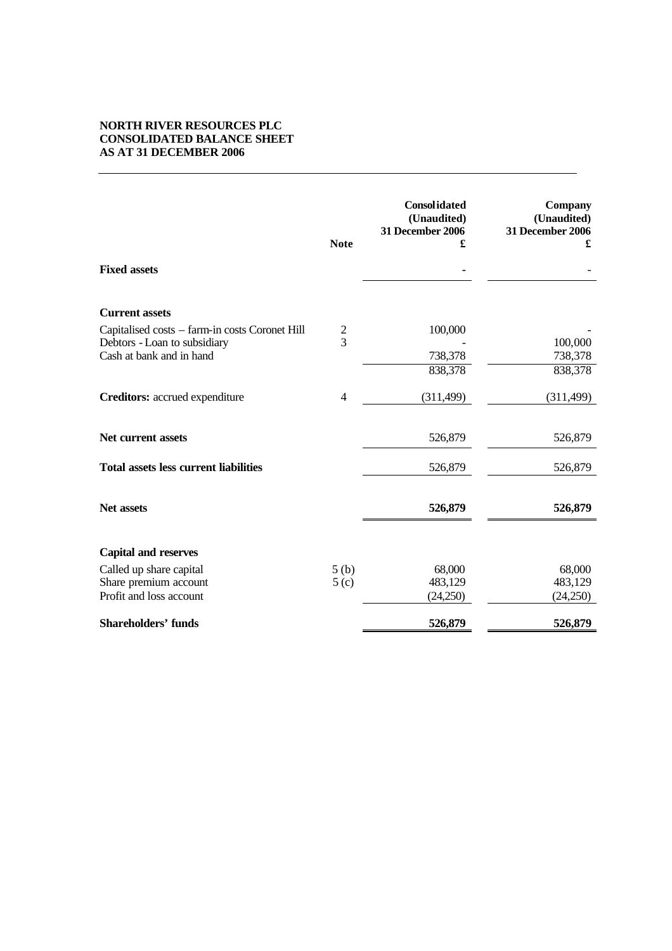# **NORTH RIVER RESOURCES PLC CONSOLIDATED BALANCE SHEET AS AT 31 DECEMBER 2006**

|                                                | <b>Note</b>      | <b>Consolidated</b><br>(Unaudited)<br><b>31 December 2006</b><br>£ | Company<br>(Unaudited)<br>31 December 2006<br>£ |
|------------------------------------------------|------------------|--------------------------------------------------------------------|-------------------------------------------------|
| <b>Fixed assets</b>                            |                  |                                                                    |                                                 |
| <b>Current assets</b>                          |                  |                                                                    |                                                 |
| Capitalised costs - farm-in costs Coronet Hill | $\frac{2}{3}$    | 100,000                                                            |                                                 |
| Debtors - Loan to subsidiary                   |                  |                                                                    | 100,000                                         |
| Cash at bank and in hand                       |                  | 738,378                                                            | 738,378                                         |
|                                                |                  | 838,378                                                            | 838,378                                         |
| Creditors: accrued expenditure                 | $\overline{4}$   | (311, 499)                                                         | (311, 499)                                      |
| Net current assets                             |                  | 526,879                                                            | 526,879                                         |
| <b>Total assets less current liabilities</b>   |                  | 526,879                                                            | 526,879                                         |
| Net assets                                     |                  | 526,879                                                            | 526,879                                         |
| <b>Capital and reserves</b>                    |                  |                                                                    |                                                 |
| Called up share capital                        | 5(b)             | 68,000                                                             | 68,000                                          |
| Share premium account                          | 5 <sub>(c)</sub> | 483,129                                                            | 483,129                                         |
| Profit and loss account                        |                  | (24,250)                                                           | (24,250)                                        |
| <b>Shareholders' funds</b>                     |                  | 526,879                                                            | 526,879                                         |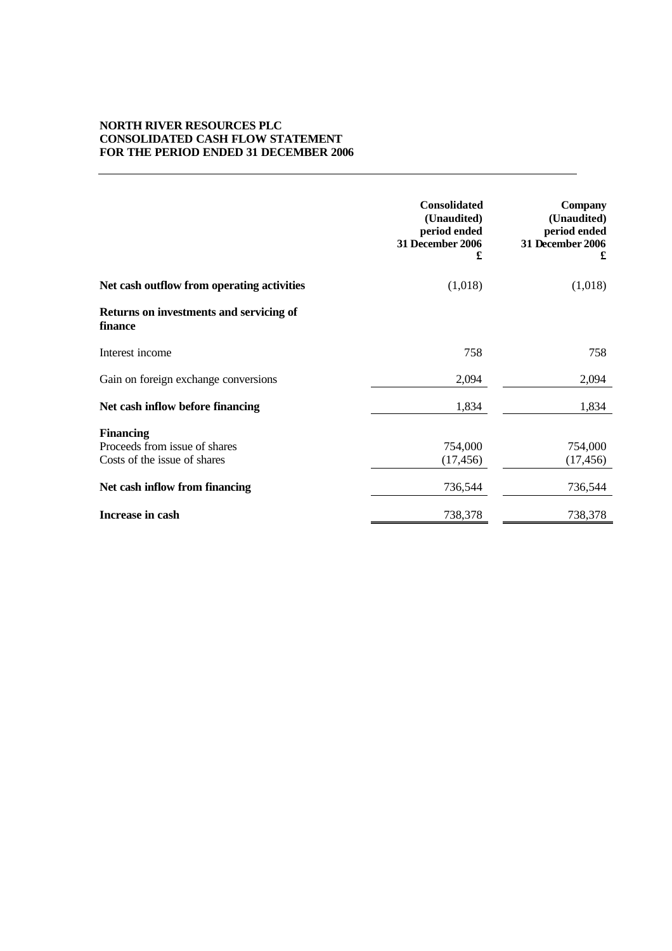## **NORTH RIVER RESOURCES PLC CONSOLIDATED CASH FLOW STATEMENT FOR THE PERIOD ENDED 31 DECEMBER 2006**

|                                                                                   | <b>Consolidated</b><br>(Unaudited)<br>period ended<br><b>31 December 2006</b><br>£ | <b>Company</b><br>(Unaudited)<br>period ended<br><b>31 December 2006</b><br>£ |
|-----------------------------------------------------------------------------------|------------------------------------------------------------------------------------|-------------------------------------------------------------------------------|
| Net cash outflow from operating activities                                        | (1,018)                                                                            | (1,018)                                                                       |
| Returns on investments and servicing of<br>finance                                |                                                                                    |                                                                               |
| Interest income                                                                   | 758                                                                                | 758                                                                           |
| Gain on foreign exchange conversions                                              | 2,094                                                                              | 2,094                                                                         |
| Net cash inflow before financing                                                  | 1,834                                                                              | 1,834                                                                         |
| <b>Financing</b><br>Proceeds from issue of shares<br>Costs of the issue of shares | 754,000<br>(17, 456)                                                               | 754,000<br>(17, 456)                                                          |
| Net cash inflow from financing                                                    | 736,544                                                                            | 736,544                                                                       |
| Increase in cash                                                                  | 738,378                                                                            | 738,378                                                                       |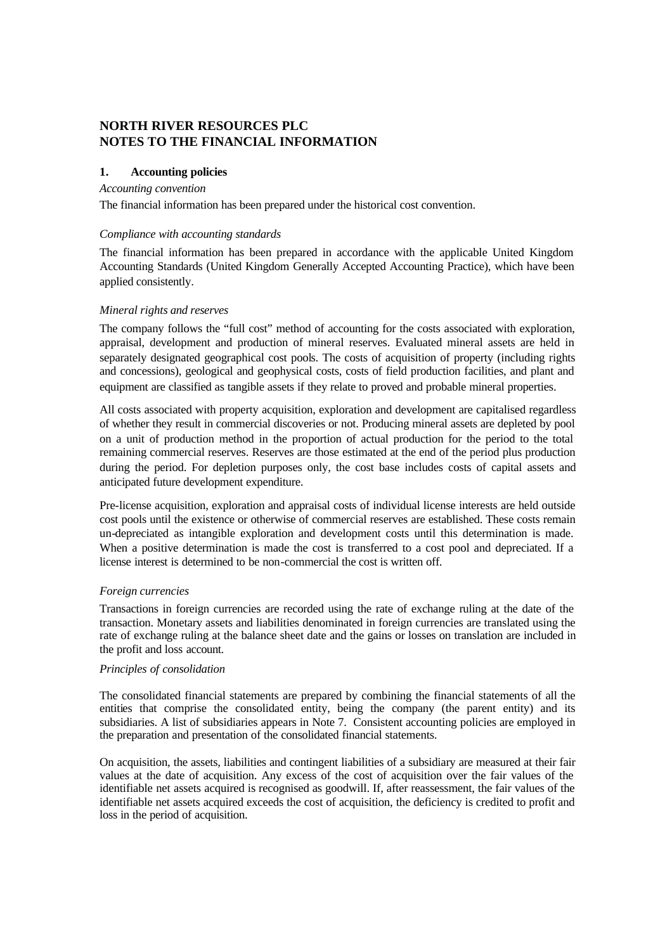# **NORTH RIVER RESOURCES PLC NOTES TO THE FINANCIAL INFORMATION**

#### **1. Accounting policies**

#### *Accounting convention*

The financial information has been prepared under the historical cost convention.

#### *Compliance with accounting standards*

The financial information has been prepared in accordance with the applicable United Kingdom Accounting Standards (United Kingdom Generally Accepted Accounting Practice), which have been applied consistently.

### *Mineral rights and reserves*

The company follows the "full cost" method of accounting for the costs associated with exploration, appraisal, development and production of mineral reserves. Evaluated mineral assets are held in separately designated geographical cost pools. The costs of acquisition of property (including rights and concessions), geological and geophysical costs, costs of field production facilities, and plant and equipment are classified as tangible assets if they relate to proved and probable mineral properties.

All costs associated with property acquisition, exploration and development are capitalised regardless of whether they result in commercial discoveries or not. Producing mineral assets are depleted by pool on a unit of production method in the proportion of actual production for the period to the total remaining commercial reserves. Reserves are those estimated at the end of the period plus production during the period. For depletion purposes only, the cost base includes costs of capital assets and anticipated future development expenditure.

Pre-license acquisition, exploration and appraisal costs of individual license interests are held outside cost pools until the existence or otherwise of commercial reserves are established. These costs remain un-depreciated as intangible exploration and development costs until this determination is made. When a positive determination is made the cost is transferred to a cost pool and depreciated. If a license interest is determined to be non-commercial the cost is written off.

#### *Foreign currencies*

Transactions in foreign currencies are recorded using the rate of exchange ruling at the date of the transaction. Monetary assets and liabilities denominated in foreign currencies are translated using the rate of exchange ruling at the balance sheet date and the gains or losses on translation are included in the profit and loss account.

#### *Principles of consolidation*

The consolidated financial statements are prepared by combining the financial statements of all the entities that comprise the consolidated entity, being the company (the parent entity) and its subsidiaries. A list of subsidiaries appears in Note 7. Consistent accounting policies are employed in the preparation and presentation of the consolidated financial statements.

On acquisition, the assets, liabilities and contingent liabilities of a subsidiary are measured at their fair values at the date of acquisition. Any excess of the cost of acquisition over the fair values of the identifiable net assets acquired is recognised as goodwill. If, after reassessment, the fair values of the identifiable net assets acquired exceeds the cost of acquisition, the deficiency is credited to profit and loss in the period of acquisition.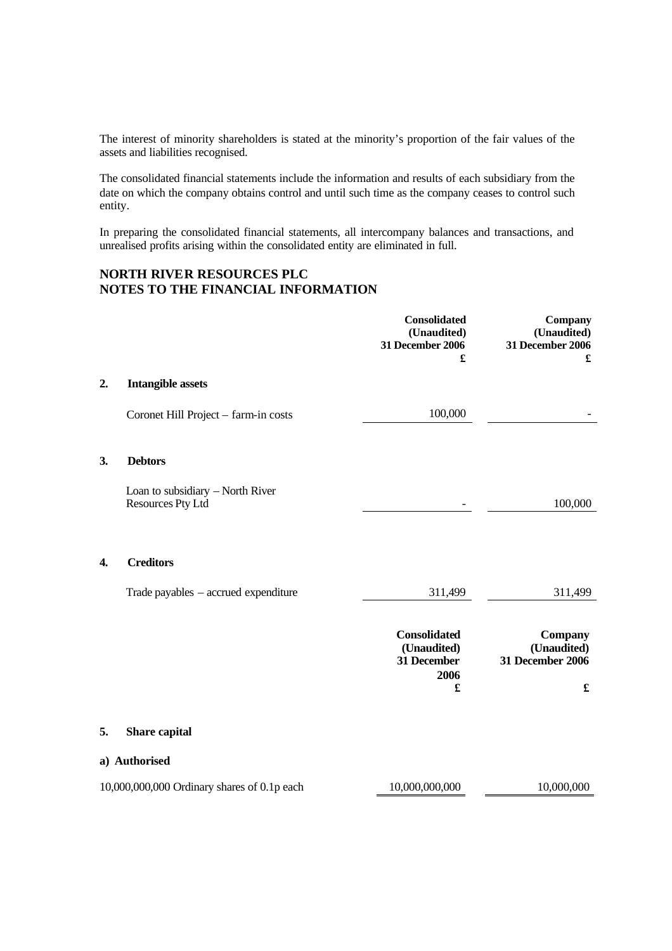The interest of minority shareholders is stated at the minority's proportion of the fair values of the assets and liabilities recognised.

The consolidated financial statements include the information and results of each subsidiary from the date on which the company obtains control and until such time as the company ceases to control such entity.

In preparing the consolidated financial statements, all intercompany balances and transactions, and unrealised profits arising within the consolidated entity are eliminated in full.

# **NORTH RIVER RESOURCES PLC NOTES TO THE FINANCIAL INFORMATION**

|    |                                                       | <b>Consolidated</b><br>(Unaudited)<br>31 December 2006<br>£    | Company<br>(Unaudited)<br><b>31 December 2006</b><br>£ |
|----|-------------------------------------------------------|----------------------------------------------------------------|--------------------------------------------------------|
| 2. | <b>Intangible assets</b>                              |                                                                |                                                        |
|    | Coronet Hill Project - farm-in costs                  | 100,000                                                        |                                                        |
| 3. | <b>Debtors</b>                                        |                                                                |                                                        |
|    | Loan to subsidiary - North River<br>Resources Pty Ltd |                                                                | 100,000                                                |
| 4. | <b>Creditors</b>                                      |                                                                |                                                        |
|    | Trade payables – accrued expenditure                  | 311,499                                                        | 311,499                                                |
|    |                                                       | <b>Consolidated</b><br>(Unaudited)<br>31 December<br>2006<br>£ | Company<br>(Unaudited)<br><b>31 December 2006</b><br>£ |
| 5. | Share capital                                         |                                                                |                                                        |
|    | a) Authorised                                         |                                                                |                                                        |
|    | 10,000,000,000 Ordinary shares of 0.1p each           | 10,000,000,000                                                 | 10,000,000                                             |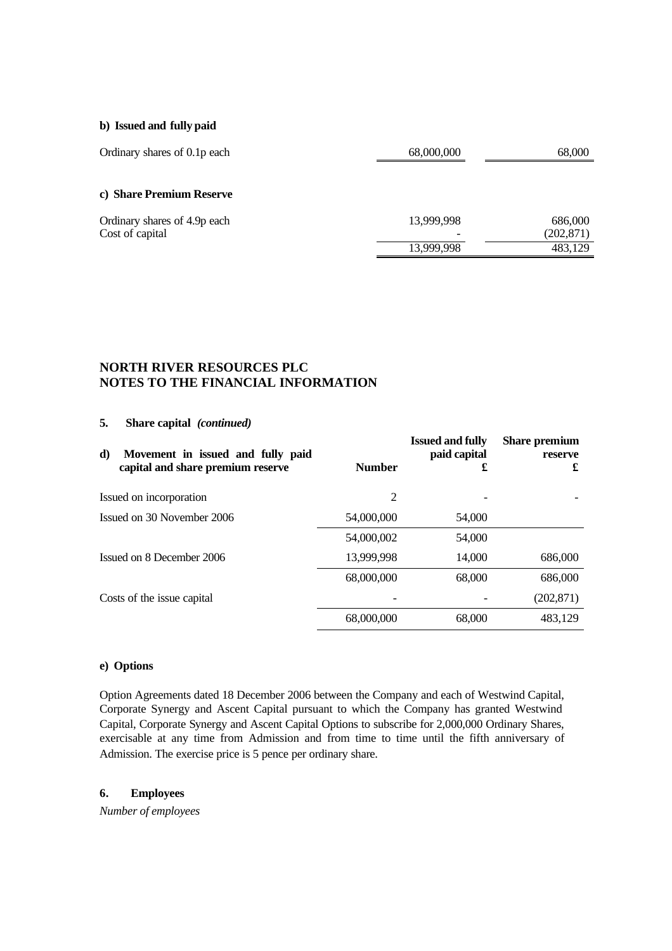### **b) Issued and fully paid**

| Ordinary shares of 0.1p each | 68,000,000               | 68,000     |
|------------------------------|--------------------------|------------|
|                              |                          |            |
| c) Share Premium Reserve     |                          |            |
| Ordinary shares of 4.9p each | 13,999,998               | 686,000    |
| Cost of capital              | $\overline{\phantom{a}}$ | (202, 871) |
|                              | 13,999,998               | 483,129    |

# **NORTH RIVER RESOURCES PLC NOTES TO THE FINANCIAL INFORMATION**

### **5. Share capital** *(continued)*

| d)<br>Movement in issued and fully paid<br>capital and share premium reserve | <b>Number</b> | <b>Issued and fully</b><br>paid capital<br>£ | <b>Share premium</b><br>reserve<br>£ |
|------------------------------------------------------------------------------|---------------|----------------------------------------------|--------------------------------------|
| Issued on incorporation                                                      | 2             |                                              |                                      |
| Issued on 30 November 2006                                                   | 54,000,000    | 54,000                                       |                                      |
|                                                                              | 54,000,002    | 54,000                                       |                                      |
| Issued on 8 December 2006                                                    | 13,999,998    | 14,000                                       | 686,000                              |
|                                                                              | 68,000,000    | 68,000                                       | 686,000                              |
| Costs of the issue capital                                                   |               |                                              | (202, 871)                           |
|                                                                              | 68,000,000    | 68,000                                       | 483.129                              |

### **e) Options**

Option Agreements dated 18 December 2006 between the Company and each of Westwind Capital, Corporate Synergy and Ascent Capital pursuant to which the Company has granted Westwind Capital, Corporate Synergy and Ascent Capital Options to subscribe for 2,000,000 Ordinary Shares, exercisable at any time from Admission and from time to time until the fifth anniversary of Admission. The exercise price is 5 pence per ordinary share.

## **6. Employees**

*Number of employees*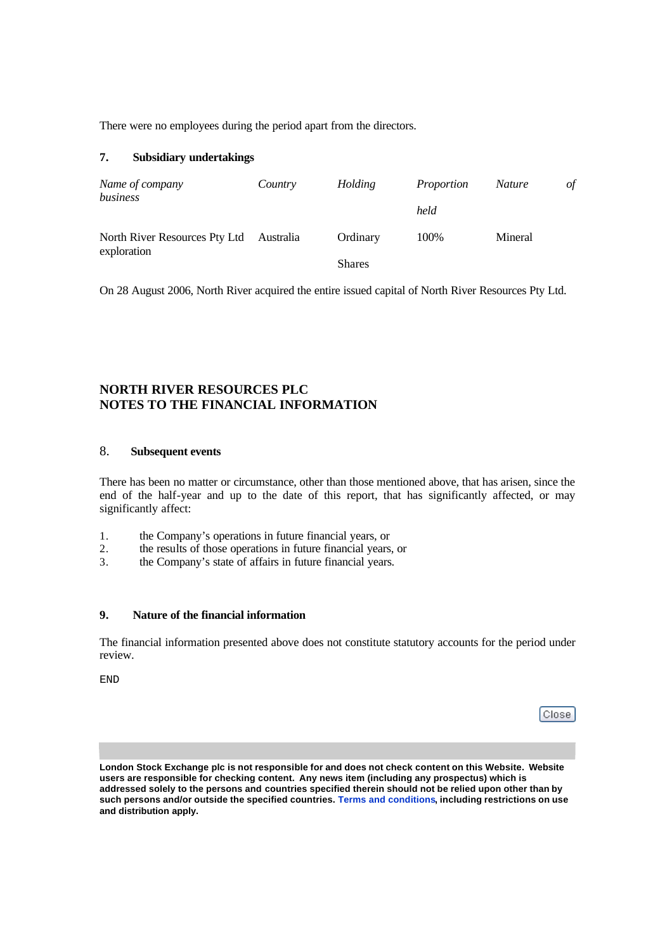There were no employees during the period apart from the directors.

# **7. Subsidiary undertakings**

| Name of company<br>business                  | Country   | Holding       | Proportion<br>held | <i>Nature</i> | $\sigma f$ |
|----------------------------------------------|-----------|---------------|--------------------|---------------|------------|
| North River Resources Pty Ltd<br>exploration | Australia | Ordinary      | 100%               | Mineral       |            |
|                                              |           | <b>Shares</b> |                    |               |            |

On 28 August 2006, North River acquired the entire issued capital of North River Resources Pty Ltd.

# **NORTH RIVER RESOURCES PLC NOTES TO THE FINANCIAL INFORMATION**

# 8. **Subsequent events**

There has been no matter or circumstance, other than those mentioned above, that has arisen, since the end of the half-year and up to the date of this report, that has significantly affected, or may significantly affect:

- 1. the Company's operations in future financial years, or
- 2. the results of those operations in future financial years, or<br>3. the Company's state of affairs in future financial years.
- the Company's state of affairs in future financial years.

### **9. Nature of the financial information**

The financial information presented above does not constitute statutory accounts for the period under review.

END

| l<br>Close: |
|-------------|
|-------------|

**London Stock Exchange plc is not responsible for and does not check content on this Website. Website users are responsible for checking content. Any news item (including any prospectus) which is addressed solely to the persons and countries specified therein should not be relied upon other than by such persons and/or outside the specified countries. Terms and conditions, including restrictions on use and distribution apply.**